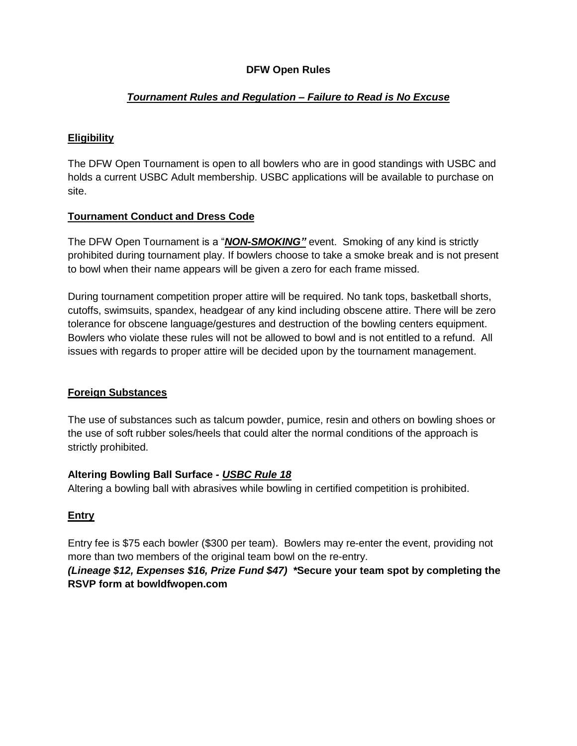# **DFW Open Rules**

## *Tournament Rules and Regulation – Failure to Read is No Excuse*

## **Eligibility**

The DFW Open Tournament is open to all bowlers who are in good standings with USBC and holds a current USBC Adult membership. USBC applications will be available to purchase on site.

## **Tournament Conduct and Dress Code**

The DFW Open Tournament is a "*NON-SMOKING"* event. Smoking of any kind is strictly prohibited during tournament play. If bowlers choose to take a smoke break and is not present to bowl when their name appears will be given a zero for each frame missed.

During tournament competition proper attire will be required. No tank tops, basketball shorts, cutoffs, swimsuits, spandex, headgear of any kind including obscene attire. There will be zero tolerance for obscene language/gestures and destruction of the bowling centers equipment. Bowlers who violate these rules will not be allowed to bowl and is not entitled to a refund. All issues with regards to proper attire will be decided upon by the tournament management.

# **Foreign Substances**

The use of substances such as talcum powder, pumice, resin and others on bowling shoes or the use of soft rubber soles/heels that could alter the normal conditions of the approach is strictly prohibited.

### **Altering Bowling Ball Surface** *- USBC Rule 18*

Altering a bowling ball with abrasives while bowling in certified competition is prohibited.

# **Entry**

Entry fee is \$75 each bowler (\$300 per team). Bowlers may re-enter the event, providing not more than two members of the original team bowl on the re-entry.

# *(Lineage \$12, Expenses \$16, Prize Fund \$47) \****Secure your team spot by completing the RSVP form at bowldfwopen.com**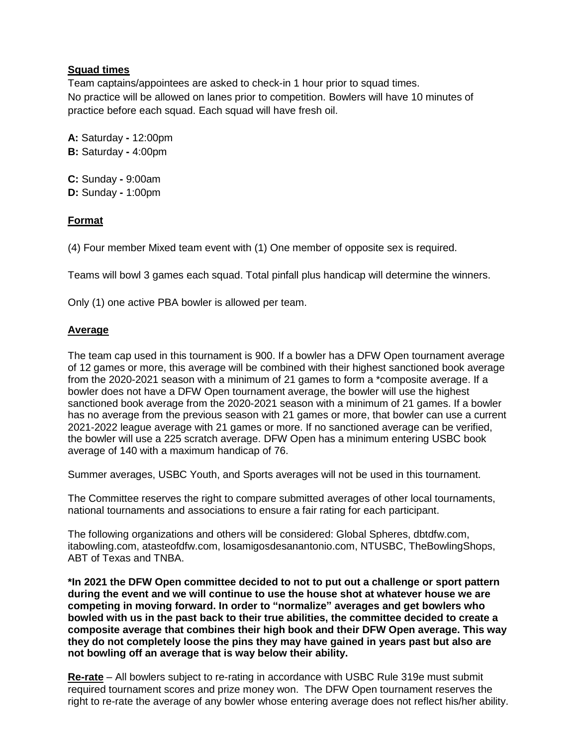## **Squad times**

Team captains/appointees are asked to check-in 1 hour prior to squad times. No practice will be allowed on lanes prior to competition. Bowlers will have 10 minutes of practice before each squad. Each squad will have fresh oil.

**A:** Saturday **-** 12:00pm **B:** Saturday **-** 4:00pm

**C:** Sunday **-** 9:00am **D:** Sunday **-** 1:00pm

## **Format**

(4) Four member Mixed team event with (1) One member of opposite sex is required.

Teams will bowl 3 games each squad. Total pinfall plus handicap will determine the winners.

Only (1) one active PBA bowler is allowed per team.

## **Average**

The team cap used in this tournament is 900. If a bowler has a DFW Open tournament average of 12 games or more, this average will be combined with their highest sanctioned book average from the 2020-2021 season with a minimum of 21 games to form a \*composite average. If a bowler does not have a DFW Open tournament average, the bowler will use the highest sanctioned book average from the 2020-2021 season with a minimum of 21 games. If a bowler has no average from the previous season with 21 games or more, that bowler can use a current 2021-2022 league average with 21 games or more. If no sanctioned average can be verified, the bowler will use a 225 scratch average. DFW Open has a minimum entering USBC book average of 140 with a maximum handicap of 76.

Summer averages, USBC Youth, and Sports averages will not be used in this tournament.

The Committee reserves the right to compare submitted averages of other local tournaments, national tournaments and associations to ensure a fair rating for each participant.

The following organizations and others will be considered: Global Spheres, dbtdfw.com, itabowling.com, atasteofdfw.com, losamigosdesanantonio.com, NTUSBC, TheBowlingShops, ABT of Texas and TNBA.

**\*In 2021 the DFW Open committee decided to not to put out a challenge or sport pattern during the event and we will continue to use the house shot at whatever house we are competing in moving forward. In order to "normalize" averages and get bowlers who bowled with us in the past back to their true abilities, the committee decided to create a composite average that combines their high book and their DFW Open average. This way they do not completely loose the pins they may have gained in years past but also are not bowling off an average that is way below their ability.**

**Re-rate** – All bowlers subject to re-rating in accordance with USBC Rule 319e must submit required tournament scores and prize money won. The DFW Open tournament reserves the right to re-rate the average of any bowler whose entering average does not reflect his/her ability.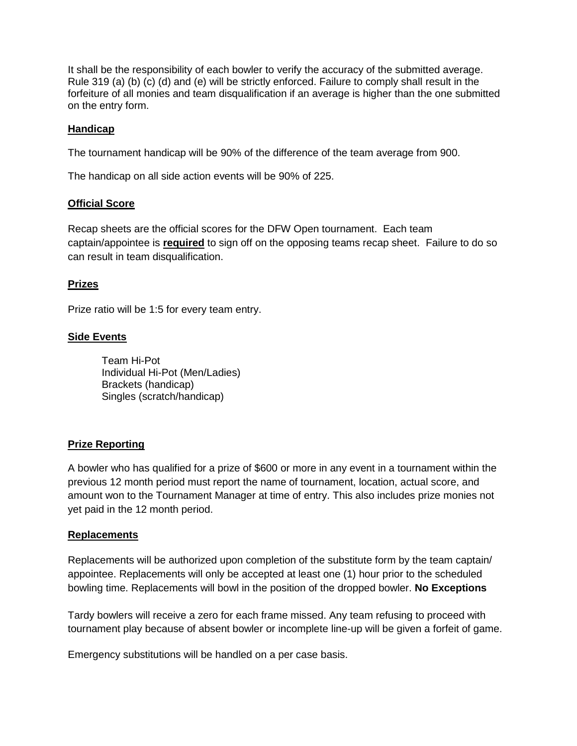It shall be the responsibility of each bowler to verify the accuracy of the submitted average. Rule 319 (a) (b) (c) (d) and (e) will be strictly enforced. Failure to comply shall result in the forfeiture of all monies and team disqualification if an average is higher than the one submitted on the entry form.

### **Handicap**

The tournament handicap will be 90% of the difference of the team average from 900.

The handicap on all side action events will be 90% of 225.

### **Official Score**

Recap sheets are the official scores for the DFW Open tournament. Each team captain/appointee is **required** to sign off on the opposing teams recap sheet. Failure to do so can result in team disqualification.

### **Prizes**

Prize ratio will be 1:5 for every team entry.

### **Side Events**

Team Hi-Pot Individual Hi-Pot (Men/Ladies) Brackets (handicap) Singles (scratch/handicap)

### **Prize Reporting**

A bowler who has qualified for a prize of \$600 or more in any event in a tournament within the previous 12 month period must report the name of tournament, location, actual score, and amount won to the Tournament Manager at time of entry. This also includes prize monies not yet paid in the 12 month period.

### **Replacements**

Replacements will be authorized upon completion of the substitute form by the team captain/ appointee. Replacements will only be accepted at least one (1) hour prior to the scheduled bowling time. Replacements will bowl in the position of the dropped bowler. **No Exceptions**

Tardy bowlers will receive a zero for each frame missed. Any team refusing to proceed with tournament play because of absent bowler or incomplete line-up will be given a forfeit of game.

Emergency substitutions will be handled on a per case basis.